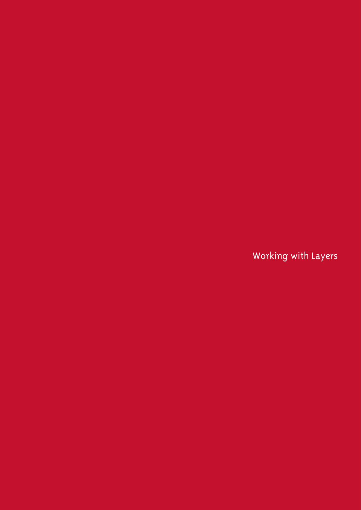Working with Layers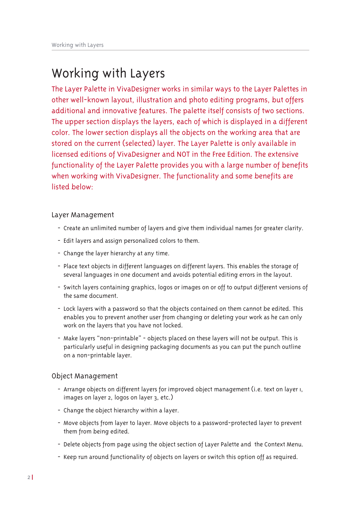# Working with Layers

The Layer Palette in VivaDesigner works in similar ways to the Layer Palettes in other well-known layout, illustration and photo editing programs, but offers additional and innovative features. The palette itself consists of two sections. The upper section displays the layers, each of which is displayed in a different color. The lower section displays all the objects on the working area that are stored on the current (selected) layer. The Layer Palette is only available in licensed editions of VivaDesigner and NOT in the Free Edition. The extensive functionality of the Layer Palette provides you with a large number of benefits when working with VivaDesigner. The functionality and some benefits are listed below:

# Layer Management

- Create an unlimited number of layers and give them individual names for greater clarity.
- Edit layers and assign personalized colors to them.
- Change the layer hierarchy at any time.
- Place text objects in different languages on different layers. This enables the storage of several languages in one document and avoids potential editing errors in the layout.
- Switch layers containing graphics, logos or images on or off to output different versions of the same document.
- Lock layers with a password so that the objects contained on them cannot be edited. This enables you to prevent another user from changing or deleting your work as he can only work on the layers that you have not locked.
- Make layers "non-printable" objects placed on these layers will not be output. This is particularly useful in designing packaging documents as you can put the punch outline on a non-printable layer.

# Object Management

- Arrange objects on different layers for improved object management (i.e. text on layer I, images on layer 2, logos on layer 3, etc.)
- Change the object hierarchy within a layer.
- Move objects from layer to layer. Move objects to a password-protected layer to prevent them from being edited.
- Delete objects from page using the object section of Layer Palette and the Context Menu.
- Keep run around functionality of objects on layers or switch this option off as required.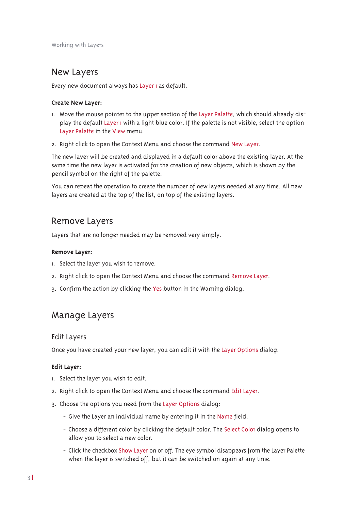# New Layers

Every new document always has Layer I as default.

#### **Create New Layer:**

- I. Move the mouse pointer to the upper section of the Layer Palette, which should already display the default Layer I with a light blue color. If the palette is not visible, select the option Layer Palette in the View menu.
- 2. Right click to open the Context Menu and choose the command New Layer.

The new layer will be created and displayed in a default color above the existing layer. At the same time the new layer is activated for the creation of new objects, which is shown by the pencil symbol on the right of the palette.

You can repeat the operation to create the number of new layers needed at any time. All new layers are created at the top of the list, on top of the existing layers.

# Remove Layers

Layers that are no longer needed may be removed very simply.

#### **Remove Layer:**

- I. Select the layer you wish to remove.
- 2. Right click to open the Context Menu and choose the command Remove Layer.
- 3. Confirm the action by clicking the Yes button in the Warning dialog.

# Manage Layers

### **Edit Lavers**

Once you have created your new layer, you can edit it with the Layer Options dialog.

#### **Edit Layer:**

- I. Select the layer you wish to edit.
- 2. Right click to open the Context Menu and choose the command Edit Layer.
- 3. Choose the options you need from the Layer Options dialog:
	- Give the Layer an individual name by entering it in the Name field.
	- Choose a different color by clicking the default color. The Select Color dialog opens to allow you to select a new color.
	- Click the checkbox Show Layer on or off. The eye symbol disappears from the Layer Palette when the layer is switched off, but it can be switched on again at any time.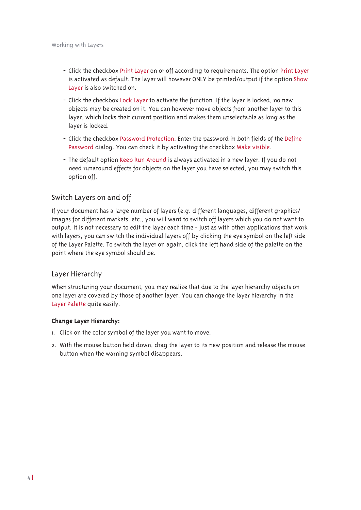- Click the checkbox Print Layer on or off according to requirements. The option Print Layer is activated as default. The layer will however ONLY be printed/output if the option Show Layer is also switched on.
- Click the checkbox Lock Layer to activate the function. If the layer is locked, no new objects may be created on it. You can however move objects from another layer to this layer, which locks their current position and makes them unselectable as long as the layer is locked.
- Click the checkbox Password Protection. Enter the password in both fields of the Define Password dialog. You can check it by activating the checkbox Make visible.
- The default option Keep Run Around is always activated in a new layer. If you do not need runaround effects for objects on the layer you have selected, you may switch this option off.

# Switch Layers on and off

If your document has a large number of layers (e.g. different languages, different graphics/ images for different markets, etc., you will want to switch off layers which you do not want to output. It is not necessary to edit the layer each time - just as with other applications that work with layers, you can switch the individual layers off by clicking the eye symbol on the left side of the Layer Palette. To switch the layer on again, click the left hand side of the palette on the point where the eye symbol should be.

# Layer Hierarchy

When structuring your document, you may realize that due to the layer hierarchy objects on one layer are covered by those of another layer. You can change the layer hierarchy in the Layer Palette quite easily.

#### Change Layer Hierarchy:

- I. Click on the color symbol of the layer you want to move.
- 2. With the mouse button held down, drag the layer to its new position and release the mouse button when the warning symbol disappears.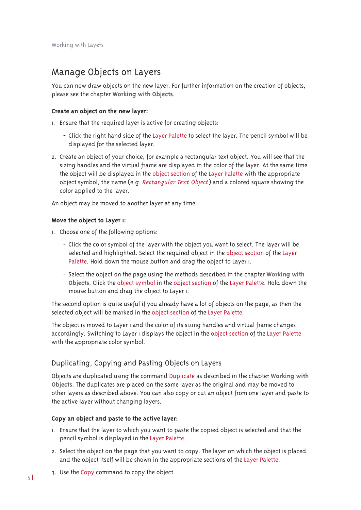# Manage Objects on Layers

You can now draw objects on the new layer. For further information on the creation of objects, please see the chapter Working with Objects.

#### Create an object on the new layer:

- I. Ensure that the required layer is active for creating objects:
	- Click the right hand side of the Layer Palette to select the layer. The pencil symbol will be displayed for the selected layer.
- 2. Create an object of your choice, for example a rectangular text object. You will see that the sizing handles and the virtual frame are displayed in the color of the layer. At the same time the object will be displayed in the object section of the Layer Palette with the appropriate object symbol, the name (e.g. Rectangular Text Object) and a colored square showing the color applied to the layer.

An object may be moved to another layer at any time.

#### Move the object to Layer I:

- I. Choose one of the following options:
	- Click the color symbol of the layer with the object you want to select. The layer will be selected and highlighted. Select the required object in the object section of the Layer Palette. Hold down the mouse button and drag the object to Layer I.
	- Select the object on the page using the methods described in the chapter Working with Objects. Click the object symbol in the object section of the Layer Palette. Hold down the mouse button and drag the object to Layer I.

The second option is quite useful if you already have a lot of objects on the page, as then the selected object will be marked in the object section of the Layer Palette.

The object is moved to Layer I and the color of its sizing handles and virtual frame changes accordingly. Switching to Layer I displays the object in the object section of the Layer Palette with the appropriate color symbol.

# Duplicating, Copying and Pasting Objects on Layers

Objects are duplicated using the command Duplicate as described in the chapter Working with Objects. The duplicates are placed on the same layer as the original and may be moved to other layers as described above. You can also copy or cut an object from one layer and paste to the active layer without changing layers.

### Copy an object and paste to the active layer:

- I. Ensure that the layer to which you want to paste the copied object is selected and that the pencil symbol is displayed in the Layer Palette.
- 2. Select the object on the page that you want to copy. The layer on which the object is placed and the object itself will be shown in the appropriate sections of the Layer Palette.
- 3. Use the Copy command to copy the object.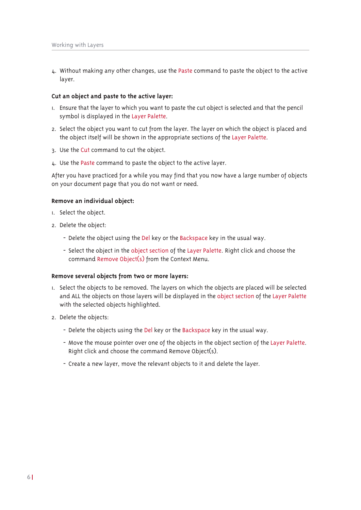4. Without making any other changes, use the Paste command to paste the object to the active laver.

#### Cut an object and paste to the active layer:

- I. Ensure that the layer to which you want to paste the cut object is selected and that the pencil symbol is displayed in the Layer Palette.
- 2. Select the object you want to cut from the layer. The layer on which the object is placed and the object itself will be shown in the appropriate sections of the Laver Palette.
- 3. Use the Cut command to cut the object.
- L. Use the Paste command to paste the object to the active layer.

After you have practiced for a while you may find that you now have a large number of objects on your document page that you do not want or need.

#### Remove an individual object:

- 1. Select the object.
- 2. Delete the object:
	- Delete the object using the Del key or the Backspace key in the usual way.
	- Select the object in the object section of the Layer Palette. Right click and choose the command Remove Object(s) from the Context Menu.

#### Remove several objects from two or more layers:

- 1. Select the objects to be removed. The layers on which the objects are placed will be selected and ALL the objects on those layers will be displayed in the object section of the Layer Palette with the selected objects highlighted.
- 2. Delete the objects:
	- Delete the objects using the Del key or the Backspace key in the usual way.
	- Move the mouse pointer over one of the objects in the object section of the Layer Palette. Right click and choose the command Remove Object(s).
	- Create a new layer, move the relevant objects to it and delete the layer.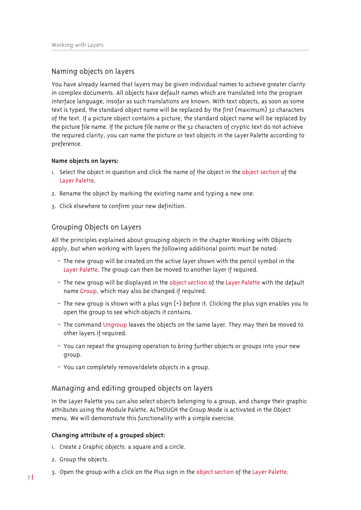### Naming objects on layers

You have already learned that layers may be given individual names to achieve greater clarity in complex documents. All objects have default names which are translated into the program interface language, insofar as such translations are known. With text objects, as soon as some text is typed, the standard object name will be replaced by the first (maximum) 32 characters of the text. If a picture object contains a picture, the standard object name will be replaced by the picture file name. If the picture file name or the 32 characters of cryptic text do not achieve the required clarity, you can name the picture or text objects in the Layer Palette according to preference.

#### Name objects on layers:

- 1. Select the object in question and click the name of the object in the object section of the Layer Palette.
- 2. Rename the object by marking the existing name and typing a new one.
- 3. Click elsewhere to confirm your new definition.

### Grouping Objects on Layers

All the principles explained about grouping objects in the chapter Working with Objects apply, but when working with layers the following additional points must be noted:

- The new group will be created on the active layer shown with the pencil symbol in the Layer Palette. The group can then be moved to another layer if required.
- The new group will be displayed in the object section of the Layer Palette with the default name Group, which may also be changed if required.
- The new group is shown with a plus sign  $(+)$  before it. Clicking the plus sign enables you to open the group to see which objects it contains.
- The command Ungroup leaves the objects on the same layer. They may then be moved to other layers if required.
- You can repeat the grouping operation to bring further objects or groups into your new group.
- You can completely remove/delete objects in a group.

### Managing and editing grouped objects on layers

In the Laver Palette you can also select objects belonging to a group, and change their graphic attributes using the Module Palette, ALTHOUGH the Group Mode is activated in the Object menu. We will demonstrate this functionality with a simple exercise.

#### Changing attribute of a grouped object:

- I. Create 2 Graphic objects: a square and a circle.
- 2. Group the objects.
- 3. Open the group with a click on the Plus sign in the object section of the Layer Palette.